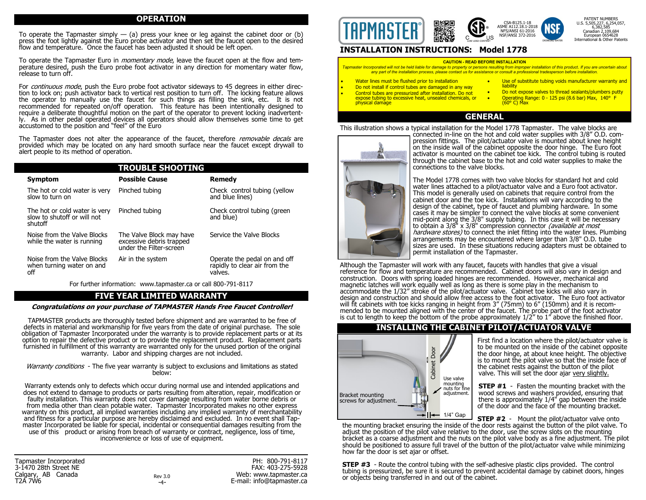#### **OPERATION**

To operate the Tapmaster simply  $-$  (a) press your knee or leg against the cabinet door or (b) press the foot lightly against the Euro probe activator and then set the faucet open to the desired flow and temperature. Once the faucet has been adjusted it should be left open.

To operate the Tapmaster Euro in *momentary mode*, leave the faucet open at the flow and temperature desired, push the Euro probe foot activator in any direction for momentary water flow, release to turn off.

For *continuous mode*, push the Euro probe foot activator sideways to 45 degrees in either direction to lock on; push activator back to vertical rest position to turn off. The locking feature allows the operator to manually use the faucet for such things as filling the sink, etc. It is not recommended for repeated on/off operation. This feature has been intentionally designed to require a deliberate thoughtful motion on the part of the operator to prevent locking inadvertently. As in other pedal operated devices all operators should allow themselves some time to get accustomed to the position and "feel" of the Euro

The Tapmaster does not alter the appearance of the faucet, therefore *removable decals* are provided which may be located on any hard smooth surface near the faucet except drywall to alert people to its method of operation.

|                                                                         | <b>TROUBLE SHOOTING</b>                                                         |                                                                          |
|-------------------------------------------------------------------------|---------------------------------------------------------------------------------|--------------------------------------------------------------------------|
| <b>Symptom</b>                                                          | <b>Possible Cause</b>                                                           | Remedy                                                                   |
| The hot or cold water is very<br>slow to turn on                        | Pinched tubing                                                                  | Check control tubing (yellow<br>and blue lines)                          |
| The hot or cold water is very<br>slow to shutoff or will not<br>shutoff | Pinched tubing                                                                  | Check control tubing (green<br>and blue)                                 |
| Noise from the Valve Blocks<br>while the water is running               | The Valve Block may have<br>excessive debris trapped<br>under the Filter-screen | Service the Valve Blocks                                                 |
| Noise from the Valve Blocks<br>when turning water on and<br>off         | Air in the system                                                               | Operate the pedal on and off<br>rapidly to clear air from the<br>valves. |

For further information: www.tapmaster.ca or call 800-791-8117

#### **FIVE YEAR LIMITED WARRANTY**

#### **Congratulations on your purchase of TAPMASTER Hands Free Faucet Controller!**

TAPMASTER products are thoroughly tested before shipment and are warranted to be free of defects in material and workmanship for five years from the date of original purchase. The sole obligation of Tapmaster Incorporated under the warranty is to provide replacement parts or at its option to repair the defective product or to provide the replacement product. Replacement parts furnished in fulfillment of this warranty are warranted only for the unused portion of the original warranty. Labor and shipping charges are not included.

Warranty conditions - The five year warranty is subject to exclusions and limitations as stated below:

Warranty extends only to defects which occur during normal use and intended applications and does not extend to damage to products or parts resulting from alteration, repair, modification or faulty installation. This warranty does not cover damage resulting from water borne debris or from media other than clean potable water. Tapmaster Incorporated makes no other express warranty on this product, all implied warranties including any implied warranty of merchantability and fitness for a particular purpose are hereby disclaimed and excluded. In no event shall Tapmaster Incorporated be liable for special, incidental or consequential damages resulting from the use of this product or arising from breach of warranty or contract, negligence, loss of time, inconvenience or loss of use of equipment.

Rev 3.0 -4-

PH: 800-791-8117 FAX: 403-275-5928 Web: www.tapmaster.ca E-mail: info@tapmaster.ca







**INSTALLATION INSTRUCTIONS: Model 1778**

#### **CAUTION - READ BEFORE INSTALLATION**

*Tapmaster Incorporated will not be held liable for damage to property or persons resulting from improper installation of this product. If you are uncertain about any part of the installation process, please contact us for assistance or consult a professional tradesperson before installation.*

- Water lines must be flushed prior to installation
	- Do not install if control tubes are damaged in any way • Use of substitute tubing voids manufacturer warranty and liability
	- Control tubes are pressurized after installation. Do not expose tubing to excessive heat, unsealed chemicals, or physical damage
- Do not expose valves to thread sealants/plumbers putty • Operating Range: 0 - 125 psi (8.6 bar) Max, 140° F (60° C) Max

#### **GENERAL**

This illustration shows a typical installation for the Model 1778 Tapmaster. The valve blocks are



connected in-line on the hot and cold water supplies with 3/8" O.D. compression fittings. The pilot/actuator valve is mounted about knee height on the inside wall of the cabinet opposite the door hinge. The Euro foot activator is mounted on the cabinet toe kick. The control tubing is routed through the cabinet base to the hot and cold water supplies to make the connections to the valve blocks.

The Model 1778 comes with two valve blocks for standard hot and cold water lines attached to a pilot/actuator valve and a Euro foot activator. This model is generally used on cabinets that require control from the cabinet door and the toe kick. Installations will vary according to the design of the cabinet, type of faucet and plumbing hardware. In some cases it may be simpler to connect the valve blocks at some convenient mid-point along the 3/8" supply tubing. In this case it will be necessary to obtain a 3/8" x 3/8" compression connector *(available at most* hardware stores) to connect the inlet fitting into the water lines. Plumbing arrangements may be encountered where larger than 3/8" O.D. tube sizes are used. In these situations reducing adapters must be obtained to permit installation of the Tapmaster.

Although the Tapmaster will work with any faucet, faucets with handles that give a visual reference for flow and temperature are recommended. Cabinet doors will also vary in design and construction. Doors with spring loaded hinges are recommended. However, mechanical and magnetic latches will work equally well as long as there is some play in the mechanism to accommodate the 1/32" stroke of the pilot/actuator valve. Cabinet toe kicks will also vary in design and construction and should allow free access to the foot activator. The Euro foot activator will fit cabinets with toe kicks ranging in height from 3" (75mm) to 6" (150mm) and it is recommended to be mounted aligned with the center of the faucet. The probe part of the foot activator is cut to length to keep the bottom of the probe approximately  $1/2$ " to  $1$ " above the finished floor.

### **INSTALLING THE CABINET PILOT/ACTUATOR VALVE**

Cabinet Door Cabinet Door Use valve mounting nuts for fine adjustment. Bracket mounting screws for adjustment.  $\rightarrow$   $\rightarrow$  1/4" Gap

First find a location where the pilot/actuator valve is to be mounted on the inside of the cabinet opposite the door hinge, at about knee height. The objective is to mount the pilot valve so that the inside face of the cabinet rests against the button of the pilot valve. This will set the door ajar very slightly.

**STEP #1** - Fasten the mounting bracket with the wood screws and washers provided, ensuring that there is approximately 1/4" gap between the inside of the door and the face of the mounting bracket.

**STEP #2** - Mount the pilot/actuator valve onto

the mounting bracket ensuring the inside of the door rests against the button of the pilot valve. To adjust the position of the pilot valve relative to the door, use the screw slots on the mounting bracket as a coarse adjustment and the nuts on the pilot valve body as a fine adjustment. The pilot should be positioned to assure full travel of the button of the pilot/actuator valve while minimizing how far the door is set ajar or offset.

**STEP #3** - Route the control tubing with the self-adhesive plastic clips provided. The control tubing is pressurized, be sure it is secured to prevent accidental damage by cabinet doors, hinges or objects being transferred in and out of the cabinet.